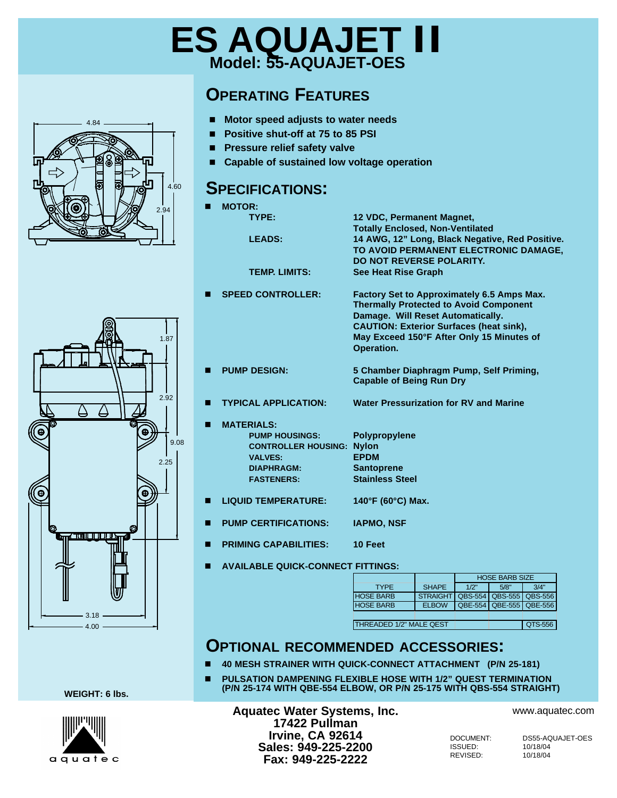## **ES AQUAJET II Model: 55-AQUAJET-OES**

### **OPERATING FEATURES**

- Motor speed adjusts to water needs
- Positive shut-off at 75 to 85 PSI
- **n** Pressure relief safety valve
- Capable of sustained low voltage operation

#### **SPECIFICATIONS:**

| 2.94         | <b>MOTOR:</b><br>TYPE:<br><b>LEADS:</b>                                                                                                    | 12 VDC, Permanent Magnet,<br><b>Totally Enclosed, Non-Ventilated</b><br>14 AWG, 12" Long, Black Negative, Red Positive.                                                                                                                       |  |  |  |
|--------------|--------------------------------------------------------------------------------------------------------------------------------------------|-----------------------------------------------------------------------------------------------------------------------------------------------------------------------------------------------------------------------------------------------|--|--|--|
|              | <b>TEMP. LIMITS:</b>                                                                                                                       | TO AVOID PERMANENT ELECTRONIC DAMAGE,<br>DO NOT REVERSE POLARITY.<br>See Heat Rise Graph                                                                                                                                                      |  |  |  |
| 1.87         | <b>SPEED CONTROLLER:</b>                                                                                                                   | Factory Set to Approximately 6.5 Amps Max.<br><b>Thermally Protected to Avoid Component</b><br>Damage. Will Reset Automatically.<br><b>CAUTION: Exterior Surfaces (heat sink),</b><br>May Exceed 150°F After Only 15 Minutes of<br>Operation. |  |  |  |
|              | <b>PUMP DESIGN:</b>                                                                                                                        | 5 Chamber Diaphragm Pump, Self Priming,<br><b>Capable of Being Run Dry</b>                                                                                                                                                                    |  |  |  |
| 2.92         | <b>TYPICAL APPLICATION:</b>                                                                                                                | Water Pressurization for RV and Marine                                                                                                                                                                                                        |  |  |  |
| 9.08<br>2.25 | <b>MATERIALS:</b><br><b>PUMP HOUSINGS:</b><br><b>CONTROLLER HOUSING: Nylon</b><br><b>VALVES:</b><br><b>DIAPHRAGM:</b><br><b>FASTENERS:</b> | Polypropylene<br><b>EPDM</b><br><b>Santoprene</b><br><b>Stainless Steel</b>                                                                                                                                                                   |  |  |  |
|              | <b>LIQUID TEMPERATURE:</b>                                                                                                                 | 140°F (60°C) Max.                                                                                                                                                                                                                             |  |  |  |
|              | <b>PUMP CERTIFICATIONS:</b>                                                                                                                | <b>IAPMO, NSF</b>                                                                                                                                                                                                                             |  |  |  |
|              | <b>PRIMING CAPABILITIES:</b>                                                                                                               | 10 Feet                                                                                                                                                                                                                                       |  |  |  |
|              | <b>AVAILABLE QUICK-CONNECT FITTINGS:</b>                                                                                                   |                                                                                                                                                                                                                                               |  |  |  |
|              |                                                                                                                                            | <b>HOSE BARB SIZE</b><br>1/2"<br><b>SHAPE</b><br>5/8"<br>3/4"<br><b>TYPE</b>                                                                                                                                                                  |  |  |  |
|              |                                                                                                                                            | <b>HOSE BARB</b><br><b>STRAIGHT</b><br>QBS-554 QBS-555<br><b>QBS-556</b>                                                                                                                                                                      |  |  |  |
|              |                                                                                                                                            | <b>HOSE BARB</b><br><b>ELBOW</b><br>QBE-554 QBE-555<br>QBE-556                                                                                                                                                                                |  |  |  |
|              |                                                                                                                                            | THREADED 1/2" MALE QEST<br>QTS-556                                                                                                                                                                                                            |  |  |  |
|              |                                                                                                                                            |                                                                                                                                                                                                                                               |  |  |  |

#### **OPTIONAL RECOMMENDED ACCESSORIES:**

- n **40 MESH STRAINER WITH QUICK-CONNECT ATTACHMENT (P/N 25-181)**
- n **PULSATION DAMPENING FLEXIBLE HOSE WITH 1/2" QUEST TERMINATION (P/N 25-174 WITH QBE-554 ELBOW, OR P/N 25-175 WITH QBS-554 STRAIGHT)**

**WEIGHT: 6 lbs.**



**Aquatec Water Systems, Inc. 17422 Pullman Irvine, CA 92614 Sales: 949-225-2200 Fax: 949-225-2222**

www.aquatec.com

ISSUED: 10/18/04<br>REVISED: 10/18/04 REVISED:

DOCUMENT: DS55-AQUAJET-OES<br>ISSUED: 10/18/04

# 4.84 lл 4.60